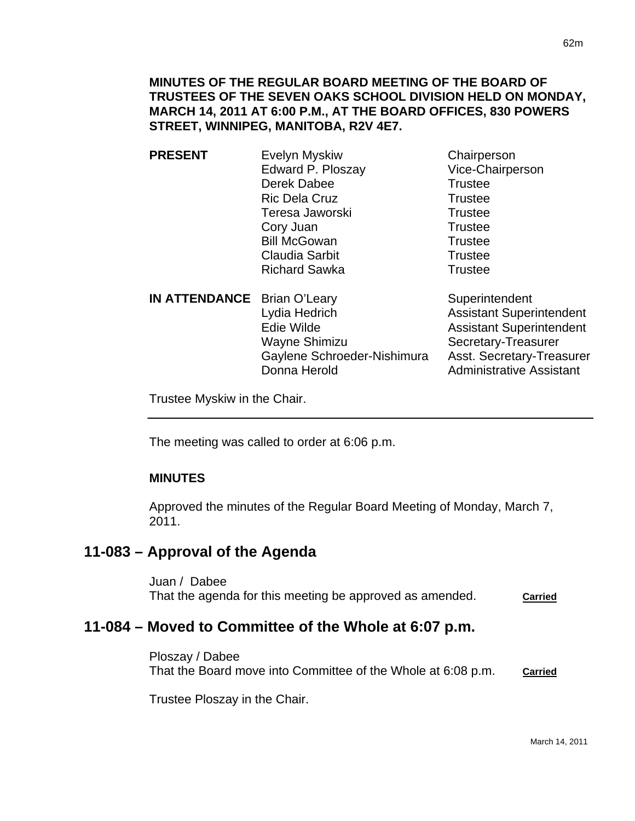- **PRESENT** Evelyn Myskiw Chairperson Edward P. Ploszay Vice-Chairperson Derek Dabee Trustee Ric Dela Cruz Trustee Teresa Jaworski **Trustee** Cory Juan **Trustee** Bill McGowan Trustee Claudia Sarbit **Trustee** Richard Sawka<br>
Trustee
- **IN ATTENDANCE** Brian O'Leary Superintendent Lydia Hedrich **Assistant Superintendent** Edie Wilde **Assistant Superintendent** Wayne Shimizu Secretary-Treasurer Gaylene Schroeder-Nishimura Asst. Secretary-Treasurer Donna Herold **Administrative Assistant**

Trustee Myskiw in the Chair.

The meeting was called to order at 6:06 p.m.

## **MINUTES**

I

Approved the minutes of the Regular Board Meeting of Monday, March 7, 2011.

## **11-083 – Approval of the Agenda**

Juan / Dabee That the agenda for this meeting be approved as amended. **Carried**

# **11-084 – Moved to Committee of the Whole at 6:07 p.m.**

Ploszay / Dabee That the Board move into Committee of the Whole at 6:08 p.m. **Carried**

Trustee Ploszay in the Chair.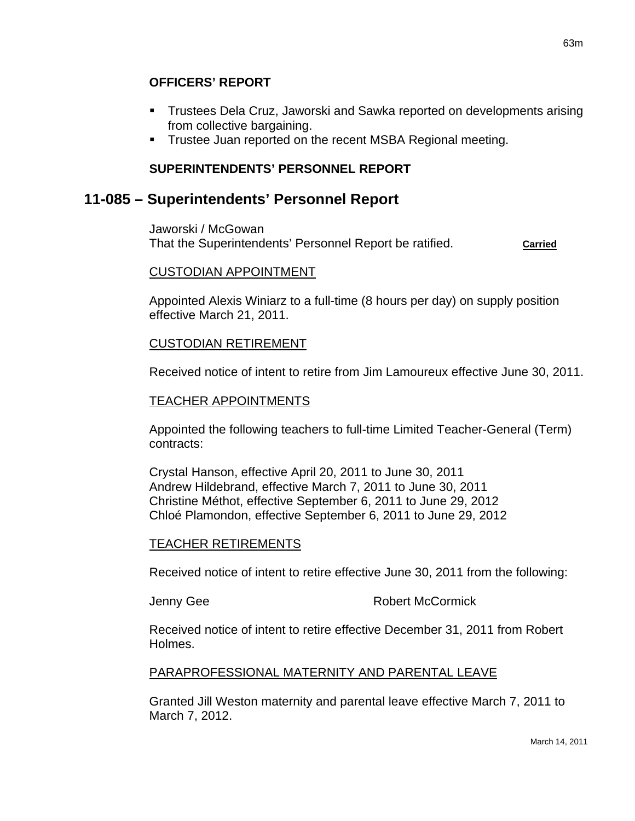## **OFFICERS' REPORT**

- Trustees Dela Cruz, Jaworski and Sawka reported on developments arising from collective bargaining.
- **Trustee Juan reported on the recent MSBA Regional meeting.**

63m

## **SUPERINTENDENTS' PERSONNEL REPORT**

## **11-085 – Superintendents' Personnel Report**

Jaworski / McGowan That the Superintendents' Personnel Report be ratified. **Carried**

## CUSTODIAN APPOINTMENT

Appointed Alexis Winiarz to a full-time (8 hours per day) on supply position effective March 21, 2011.

## CUSTODIAN RETIREMENT

Received notice of intent to retire from Jim Lamoureux effective June 30, 2011.

### TEACHER APPOINTMENTS

Appointed the following teachers to full-time Limited Teacher-General (Term) contracts:

Crystal Hanson, effective April 20, 2011 to June 30, 2011 Andrew Hildebrand, effective March 7, 2011 to June 30, 2011 Christine Méthot, effective September 6, 2011 to June 29, 2012 Chloé Plamondon, effective September 6, 2011 to June 29, 2012

#### TEACHER RETIREMENTS

Received notice of intent to retire effective June 30, 2011 from the following:

Jenny Gee **Robert McCormick** 

Received notice of intent to retire effective December 31, 2011 from Robert Holmes.

#### PARAPROFESSIONAL MATERNITY AND PARENTAL LEAVE

Granted Jill Weston maternity and parental leave effective March 7, 2011 to March 7, 2012.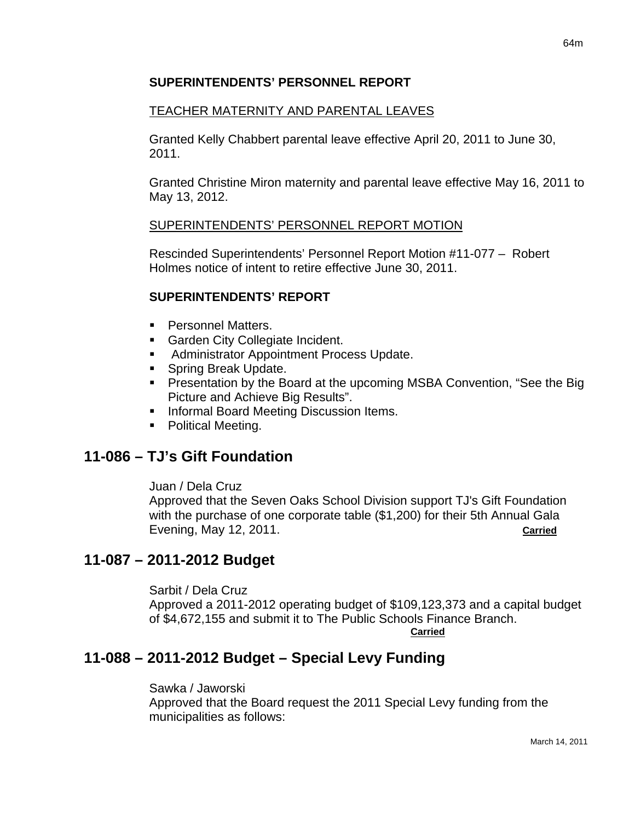### **SUPERINTENDENTS' PERSONNEL REPORT**

### TEACHER MATERNITY AND PARENTAL LEAVES

Granted Kelly Chabbert parental leave effective April 20, 2011 to June 30, 2011.

Granted Christine Miron maternity and parental leave effective May 16, 2011 to May 13, 2012.

#### SUPERINTENDENTS' PERSONNEL REPORT MOTION

Rescinded Superintendents' Personnel Report Motion #11-077 – Robert Holmes notice of intent to retire effective June 30, 2011.

### **SUPERINTENDENTS' REPORT**

- **Personnel Matters.**
- **Garden City Collegiate Incident.**
- **Administrator Appointment Process Update.**
- **Spring Break Update.**
- **Presentation by the Board at the upcoming MSBA Convention, "See the Big.**" Picture and Achieve Big Results".
- **Informal Board Meeting Discussion Items.**
- Political Meeting.

## **11-086 – TJ's Gift Foundation**

Juan / Dela Cruz

Approved that the Seven Oaks School Division support TJ's Gift Foundation with the purchase of one corporate table (\$1,200) for their 5th Annual Gala Evening, May 12, 2011. **Carried**

## **11-087 – 2011-2012 Budget**

Sarbit / Dela Cruz

Approved a 2011-2012 operating budget of \$109,123,373 and a capital budget of \$4,672,155 and submit it to The Public Schools Finance Branch.

**Carried**

# **11-088 – 2011-2012 Budget – Special Levy Funding**

Sawka / Jaworski

Approved that the Board request the 2011 Special Levy funding from the municipalities as follows: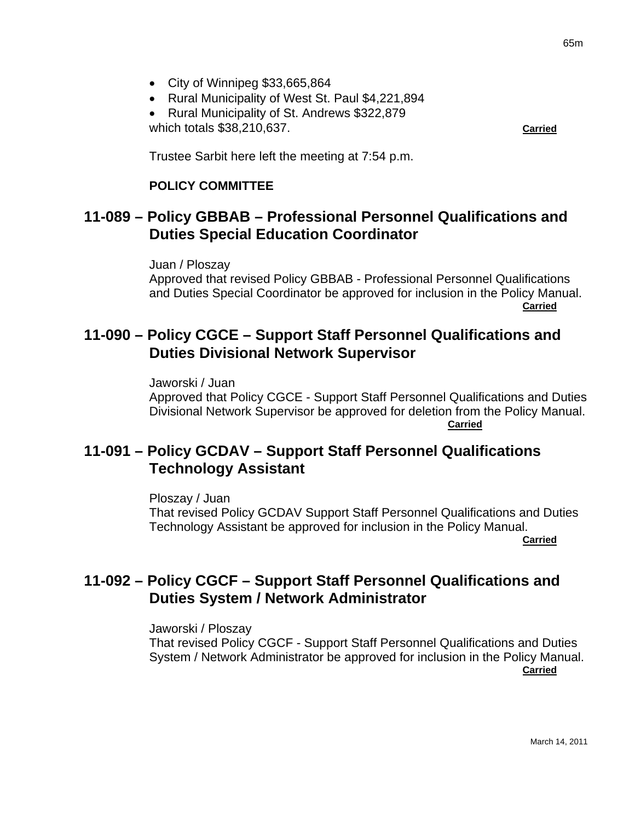- City of Winnipeg \$33,665,864
- Rural Municipality of West St. Paul \$4,221,894
- Rural Municipality of St. Andrews \$322,879 which totals \$38,210,637. **Carried**

Trustee Sarbit here left the meeting at 7:54 p.m.

#### **POLICY COMMITTEE**

## **11-089 – Policy GBBAB – Professional Personnel Qualifications and Duties Special Education Coordinator**

Juan / Ploszay Approved that revised Policy GBBAB - Professional Personnel Qualifications and Duties Special Coordinator be approved for inclusion in the Policy Manual. **Carried** Contract of the Contract of the Contract of the Contract of the Contract of the Contract of the Contract of the Contract of the Contract of the Contract of the Contract of the Contract of the Contract of the Cont

## **11-090 – Policy CGCE – Support Staff Personnel Qualifications and Duties Divisional Network Supervisor**

Jaworski / Juan Approved that Policy CGCE - Support Staff Personnel Qualifications and Duties Divisional Network Supervisor be approved for deletion from the Policy Manual. **Carried Carried Community of the Carried Carried Carried Carried Carried Carried Carried Carried Carried Carried Carried Carried Carried Carried Carried Carried Carried Carried Carried Carried Carried Carried Carried Carr** 

## **11-091 – Policy GCDAV – Support Staff Personnel Qualifications Technology Assistant**

Ploszay / Juan That revised Policy GCDAV Support Staff Personnel Qualifications and Duties Technology Assistant be approved for inclusion in the Policy Manual. **Carried** 

## **11-092 – Policy CGCF – Support Staff Personnel Qualifications and Duties System / Network Administrator**

Jaworski / Ploszay That revised Policy CGCF - Support Staff Personnel Qualifications and Duties System / Network Administrator be approved for inclusion in the Policy Manual. **Carried**